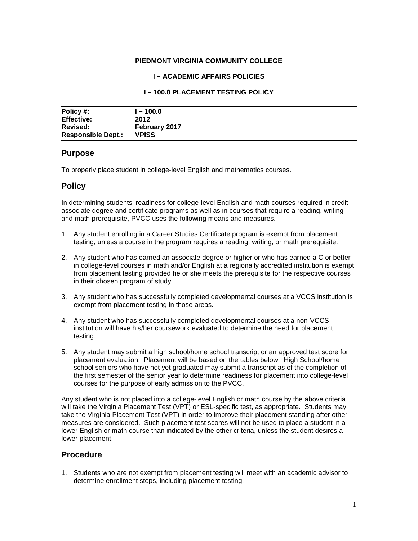### **PIEDMONT VIRGINIA COMMUNITY COLLEGE**

### **I – ACADEMIC AFFAIRS POLICIES**

### **I – 100.0 PLACEMENT TESTING POLICY**

| Policy #:                 | l – 100.0            |
|---------------------------|----------------------|
| <b>Effective:</b>         | 2012                 |
| <b>Revised:</b>           | <b>February 2017</b> |
| <b>Responsible Dept.:</b> | <b>VPISS</b>         |

### **Purpose**

To properly place student in college-level English and mathematics courses.

## **Policy**

In determining students' readiness for college-level English and math courses required in credit associate degree and certificate programs as well as in courses that require a reading, writing and math prerequisite, PVCC uses the following means and measures.

- 1. Any student enrolling in a Career Studies Certificate program is exempt from placement testing, unless a course in the program requires a reading, writing, or math prerequisite.
- 2. Any student who has earned an associate degree or higher or who has earned a C or better in college-level courses in math and/or English at a regionally accredited institution is exempt from placement testing provided he or she meets the prerequisite for the respective courses in their chosen program of study.
- 3. Any student who has successfully completed developmental courses at a VCCS institution is exempt from placement testing in those areas.
- 4. Any student who has successfully completed developmental courses at a non-VCCS institution will have his/her coursework evaluated to determine the need for placement testing.
- 5. Any student may submit a high school/home school transcript or an approved test score for placement evaluation. Placement will be based on the tables below. High School/home school seniors who have not yet graduated may submit a transcript as of the completion of the first semester of the senior year to determine readiness for placement into college-level courses for the purpose of early admission to the PVCC.

Any student who is not placed into a college-level English or math course by the above criteria will take the Virginia Placement Test (VPT) or ESL-specific test, as appropriate. Students may take the Virginia Placement Test (VPT) in order to improve their placement standing after other measures are considered. Such placement test scores will not be used to place a student in a lower English or math course than indicated by the other criteria, unless the student desires a lower placement.

### **Procedure**

1. Students who are not exempt from placement testing will meet with an academic advisor to determine enrollment steps, including placement testing.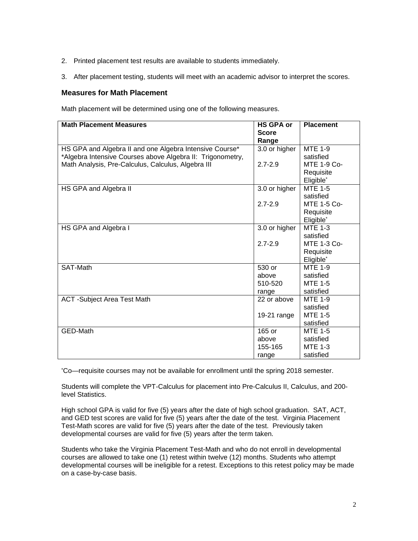- 2. Printed placement test results are available to students immediately.
- 3. After placement testing, students will meet with an academic advisor to interpret the scores.

### **Measures for Math Placement**

Math placement will be determined using one of the following measures.

| <b>Math Placement Measures</b>                             | <b>HS GPA or</b><br><b>Score</b> | <b>Placement</b>      |
|------------------------------------------------------------|----------------------------------|-----------------------|
|                                                            | Range                            |                       |
| HS GPA and Algebra II and one Algebra Intensive Course*    | 3.0 or higher                    | <b>MTE 1-9</b>        |
| *Algebra Intensive Courses above Algebra II: Trigonometry, |                                  | satisfied             |
| Math Analysis, Pre-Calculus, Calculus, Algebra III         | $2.7 - 2.9$                      | <b>MTE 1-9 Co-</b>    |
|                                                            |                                  | Requisite             |
|                                                            |                                  | Eligible <sup>*</sup> |
| HS GPA and Algebra II                                      | 3.0 or higher                    | <b>MTE 1-5</b>        |
|                                                            |                                  | satisfied             |
|                                                            | $2.7 - 2.9$                      | MTE 1-5 Co-           |
|                                                            |                                  | Requisite             |
|                                                            |                                  | Eligible*             |
| HS GPA and Algebra I                                       | 3.0 or higher                    | <b>MTE 1-3</b>        |
|                                                            |                                  | satisfied             |
|                                                            | $2.7 - 2.9$                      | <b>MTE 1-3 Co-</b>    |
|                                                            |                                  | Requisite             |
|                                                            |                                  | Eligible*             |
| SAT-Math                                                   | 530 or                           | <b>MTE 1-9</b>        |
|                                                            | above                            | satisfied             |
|                                                            | 510-520                          | <b>MTE 1-5</b>        |
|                                                            | range                            | satisfied             |
| <b>ACT</b> -Subject Area Test Math                         | 22 or above                      | <b>MTE 1-9</b>        |
|                                                            |                                  | satisfied             |
|                                                            | 19-21 range                      | <b>MTE 1-5</b>        |
|                                                            |                                  | satisfied             |
| GED-Math                                                   | 165 or                           | <b>MTE 1-5</b>        |
|                                                            | above                            | satisfied             |
|                                                            | 155-165                          | <b>MTE 1-3</b>        |
|                                                            | range                            | satisfied             |

\* Co—requisite courses may not be available for enrollment until the spring 2018 semester.

Students will complete the VPT-Calculus for placement into Pre-Calculus II, Calculus, and 200 level Statistics.

High school GPA is valid for five (5) years after the date of high school graduation. SAT, ACT, and GED test scores are valid for five (5) years after the date of the test. Virginia Placement Test-Math scores are valid for five (5) years after the date of the test. Previously taken developmental courses are valid for five (5) years after the term taken.

Students who take the Virginia Placement Test-Math and who do not enroll in developmental courses are allowed to take one (1) retest within twelve (12) months. Students who attempt developmental courses will be ineligible for a retest. Exceptions to this retest policy may be made on a case-by-case basis.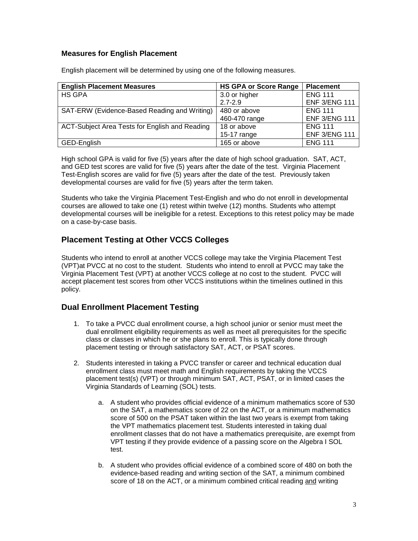## **Measures for English Placement**

| <b>English Placement Measures</b>              | <b>HS GPA or Score Range</b> | <b>Placement</b>     |
|------------------------------------------------|------------------------------|----------------------|
| HS GPA                                         | 3.0 or higher                | <b>ENG 111</b>       |
|                                                | $2.7 - 2.9$                  | <b>ENF 3/ENG 111</b> |
| SAT-ERW (Evidence-Based Reading and Writing)   | 480 or above                 | <b>ENG 111</b>       |
|                                                | 460-470 range                | <b>ENF 3/ENG 111</b> |
| ACT-Subject Area Tests for English and Reading | 18 or above                  | <b>ENG 111</b>       |
|                                                | $15-17$ range                | <b>ENF 3/ENG 111</b> |
| GED-English                                    | 165 or above                 | <b>ENG 111</b>       |

English placement will be determined by using one of the following measures.

High school GPA is valid for five (5) years after the date of high school graduation. SAT, ACT, and GED test scores are valid for five (5) years after the date of the test. Virginia Placement Test-English scores are valid for five (5) years after the date of the test. Previously taken developmental courses are valid for five (5) years after the term taken.

Students who take the Virginia Placement Test-English and who do not enroll in developmental courses are allowed to take one (1) retest within twelve (12) months. Students who attempt developmental courses will be ineligible for a retest. Exceptions to this retest policy may be made on a case-by-case basis.

# **Placement Testing at Other VCCS Colleges**

Students who intend to enroll at another VCCS college may take the Virginia Placement Test (VPT)at PVCC at no cost to the student. Students who intend to enroll at PVCC may take the Virginia Placement Test (VPT) at another VCCS college at no cost to the student. PVCC will accept placement test scores from other VCCS institutions within the timelines outlined in this policy.

# **Dual Enrollment Placement Testing**

- 1. To take a PVCC dual enrollment course, a high school junior or senior must meet the dual enrollment eligibility requirements as well as meet all prerequisites for the specific class or classes in which he or she plans to enroll. This is typically done through placement testing or through satisfactory SAT, ACT, or PSAT scores.
- 2. Students interested in taking a PVCC transfer or career and technical education dual enrollment class must meet math and English requirements by taking the VCCS placement test(s) (VPT) or through minimum SAT, ACT, PSAT, or in limited cases the Virginia Standards of Learning (SOL) tests.
	- a. A student who provides official evidence of a minimum mathematics score of 530 on the SAT, a mathematics score of 22 on the ACT, or a minimum mathematics score of 500 on the PSAT taken within the last two years is exempt from taking the VPT mathematics placement test. Students interested in taking dual enrollment classes that do not have a mathematics prerequisite, are exempt from VPT testing if they provide evidence of a passing score on the Algebra I SOL test.
	- b. A student who provides official evidence of a combined score of 480 on both the evidence-based reading and writing section of the SAT, a minimum combined score of 18 on the ACT, or a minimum combined critical reading and writing